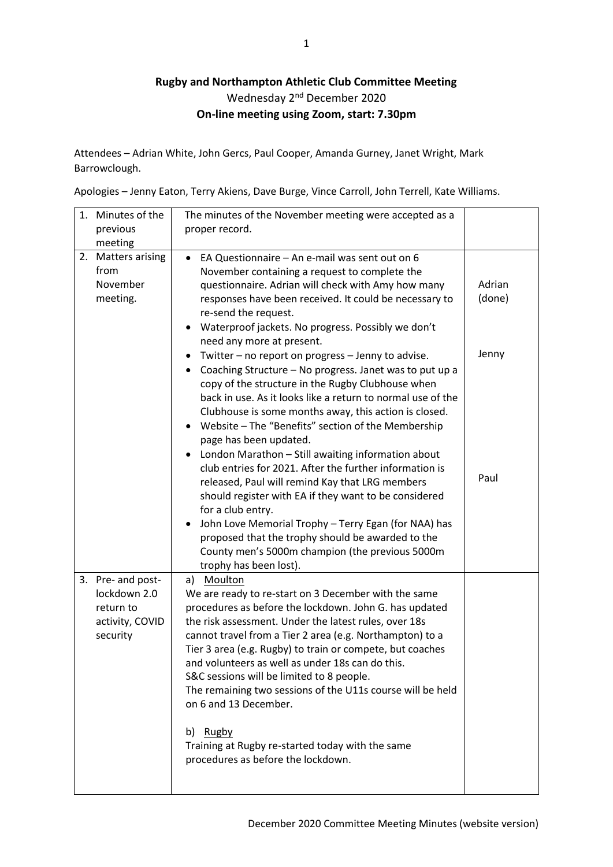## **Rugby and Northampton Athletic Club Committee Meeting** Wednesday 2<sup>nd</sup> December 2020 **On-line meeting using Zoom, start: 7.30pm**

Attendees – Adrian White, John Gercs, Paul Cooper, Amanda Gurney, Janet Wright, Mark Barrowclough.

Apologies – Jenny Eaton, Terry Akiens, Dave Burge, Vince Carroll, John Terrell, Kate Williams.

| 1.<br>Minutes of the                                                          | The minutes of the November meeting were accepted as a                                                                                                                                                                                                                                                                                                                                                                                                                                                                                                                                                                                                                                                                                                                                                                                        |                  |
|-------------------------------------------------------------------------------|-----------------------------------------------------------------------------------------------------------------------------------------------------------------------------------------------------------------------------------------------------------------------------------------------------------------------------------------------------------------------------------------------------------------------------------------------------------------------------------------------------------------------------------------------------------------------------------------------------------------------------------------------------------------------------------------------------------------------------------------------------------------------------------------------------------------------------------------------|------------------|
| previous                                                                      | proper record.                                                                                                                                                                                                                                                                                                                                                                                                                                                                                                                                                                                                                                                                                                                                                                                                                                |                  |
| meeting                                                                       |                                                                                                                                                                                                                                                                                                                                                                                                                                                                                                                                                                                                                                                                                                                                                                                                                                               |                  |
| 2.<br><b>Matters arising</b><br>from<br>November<br>meeting.                  | EA Questionnaire - An e-mail was sent out on 6<br>$\bullet$<br>November containing a request to complete the<br>questionnaire. Adrian will check with Amy how many<br>responses have been received. It could be necessary to<br>re-send the request.<br>Waterproof jackets. No progress. Possibly we don't<br>٠<br>need any more at present.                                                                                                                                                                                                                                                                                                                                                                                                                                                                                                  | Adrian<br>(done) |
|                                                                               | Twitter - no report on progress - Jenny to advise.<br>Coaching Structure - No progress. Janet was to put up a<br>٠<br>copy of the structure in the Rugby Clubhouse when<br>back in use. As it looks like a return to normal use of the<br>Clubhouse is some months away, this action is closed.<br>Website - The "Benefits" section of the Membership<br>$\bullet$<br>page has been updated.<br>London Marathon - Still awaiting information about<br>٠<br>club entries for 2021. After the further information is<br>released, Paul will remind Kay that LRG members<br>should register with EA if they want to be considered<br>for a club entry.<br>John Love Memorial Trophy - Terry Egan (for NAA) has<br>proposed that the trophy should be awarded to the<br>County men's 5000m champion (the previous 5000m<br>trophy has been lost). | Jenny<br>Paul    |
| 3. Pre- and post-<br>lockdown 2.0<br>return to<br>activity, COVID<br>security | a) Moulton<br>We are ready to re-start on 3 December with the same<br>procedures as before the lockdown. John G. has updated<br>the risk assessment. Under the latest rules, over 18s<br>cannot travel from a Tier 2 area (e.g. Northampton) to a<br>Tier 3 area (e.g. Rugby) to train or compete, but coaches<br>and volunteers as well as under 18s can do this.<br>S&C sessions will be limited to 8 people.<br>The remaining two sessions of the U11s course will be held<br>on 6 and 13 December.<br>b) Rugby<br>Training at Rugby re-started today with the same<br>procedures as before the lockdown.                                                                                                                                                                                                                                  |                  |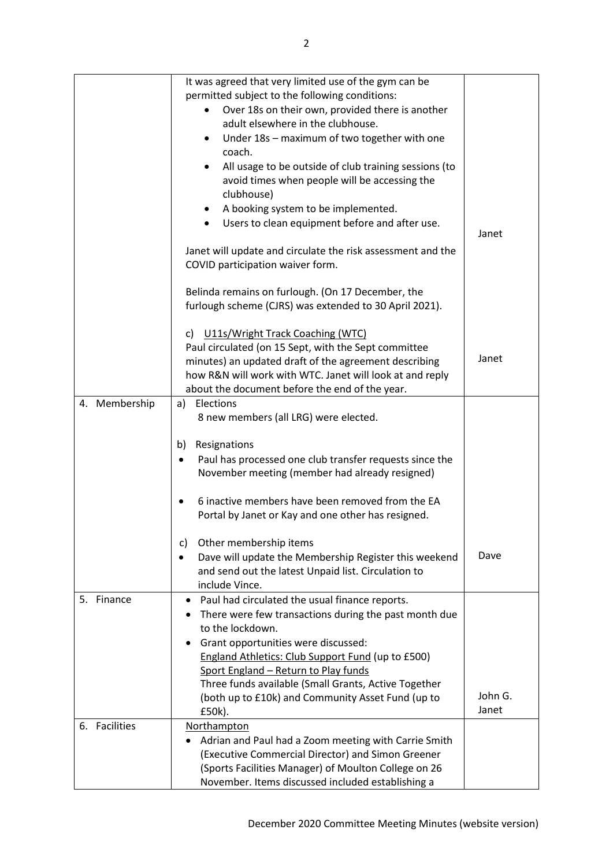|               | It was agreed that very limited use of the gym can be                |         |
|---------------|----------------------------------------------------------------------|---------|
|               | permitted subject to the following conditions:                       |         |
|               | Over 18s on their own, provided there is another<br>٠                |         |
|               | adult elsewhere in the clubhouse.                                    |         |
|               | Under 18s - maximum of two together with one<br>$\bullet$            |         |
|               | coach.                                                               |         |
|               | All usage to be outside of club training sessions (to                |         |
|               | avoid times when people will be accessing the                        |         |
|               | clubhouse)                                                           |         |
|               | A booking system to be implemented.<br>$\bullet$                     |         |
|               | Users to clean equipment before and after use.<br>$\bullet$          |         |
|               |                                                                      | Janet   |
|               | Janet will update and circulate the risk assessment and the          |         |
|               | COVID participation waiver form.                                     |         |
|               |                                                                      |         |
|               | Belinda remains on furlough. (On 17 December, the                    |         |
|               | furlough scheme (CJRS) was extended to 30 April 2021).               |         |
|               |                                                                      |         |
|               | c) U11s/Wright Track Coaching (WTC)                                  |         |
|               | Paul circulated (on 15 Sept, with the Sept committee                 |         |
|               | minutes) an updated draft of the agreement describing                | Janet   |
|               | how R&N will work with WTC. Janet will look at and reply             |         |
|               | about the document before the end of the year.                       |         |
| 4. Membership | a) Elections                                                         |         |
|               | 8 new members (all LRG) were elected.                                |         |
|               |                                                                      |         |
|               | Resignations<br>b)                                                   |         |
|               | Paul has processed one club transfer requests since the<br>$\bullet$ |         |
|               | November meeting (member had already resigned)                       |         |
|               | 6 inactive members have been removed from the EA                     |         |
|               | Portal by Janet or Kay and one other has resigned.                   |         |
|               |                                                                      |         |
|               | Other membership items<br>C)                                         |         |
|               | Dave will update the Membership Register this weekend                | Dave    |
|               | and send out the latest Unpaid list. Circulation to                  |         |
|               | include Vince.                                                       |         |
| Finance<br>5. | Paul had circulated the usual finance reports.<br>٠                  |         |
|               | There were few transactions during the past month due                |         |
|               | to the lockdown.                                                     |         |
|               | Grant opportunities were discussed:                                  |         |
|               | England Athletics: Club Support Fund (up to £500)                    |         |
|               | Sport England - Return to Play funds                                 |         |
|               | Three funds available (Small Grants, Active Together                 |         |
|               | (both up to £10k) and Community Asset Fund (up to                    | John G. |
|               | £50k).                                                               | Janet   |
| 6. Facilities | Northampton                                                          |         |
|               | Adrian and Paul had a Zoom meeting with Carrie Smith                 |         |
|               | (Executive Commercial Director) and Simon Greener                    |         |
|               | (Sports Facilities Manager) of Moulton College on 26                 |         |
|               | November. Items discussed included establishing a                    |         |